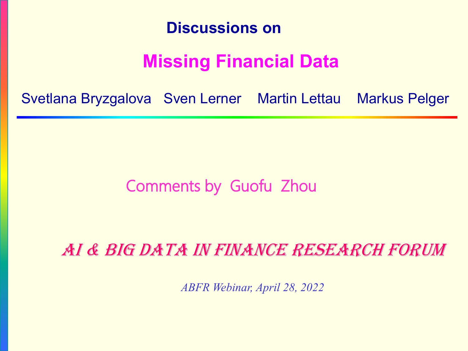

### **Missing Financial Data**

Svetlana Bryzgalova Sven Lerner Martin Lettau Markus Pelger

### Comments by Guofu Zhou

AI & BIG DATA IN FINANCE RESEARCH FORUM

*ABFR Webinar, April 28, 2022*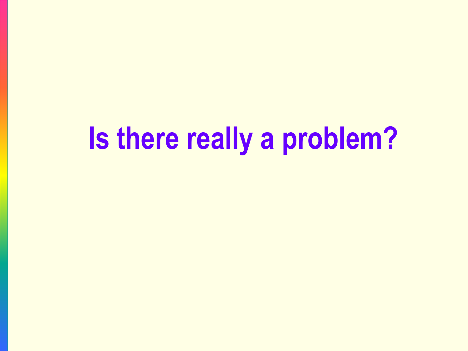## **Is there really a problem?**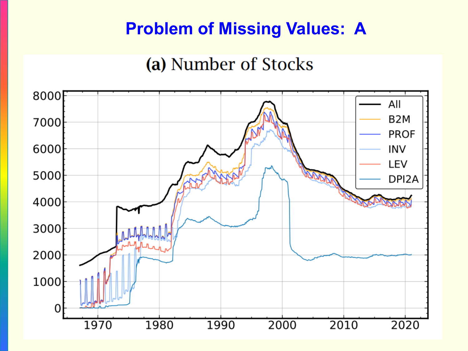### **Problem of Missing Values: A**

### (a) Number of Stocks

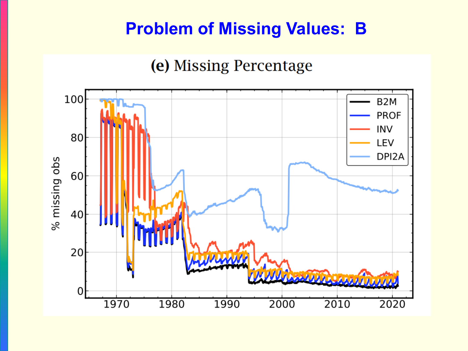### **Problem of Missing Values: B**

### (e) Missing Percentage

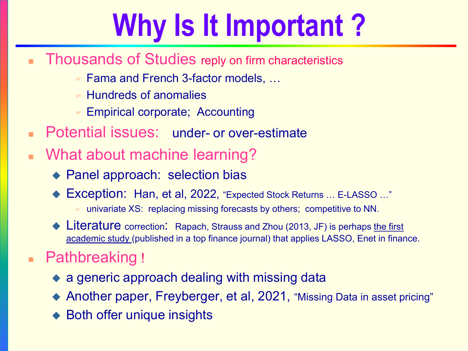# **Why Is It Important ?**

- Thousands of Studies reply on firm characteristics
	- Fama and French 3-factor models, …
	- Hundreds of anomalies
	- Empirical corporate; Accounting
- Potential issues: under- or over-estimate
- What about machine learning?
	- ◆ Panel approach: selection bias
	- Exception: Han, et al, 2022, "Expected Stock Returns … E-LASSO …"
		- univariate XS: replacing missing forecasts by others; competitive to NN.
	- ◆ Literature correction: Rapach, Strauss and Zhou (2013, JF) is perhaps the first academic study (published in a top finance journal) that applies LASSO, Enet in finance.

### Pathbreaking !

- ◆ a generic approach dealing with missing data
- ◆ Another paper, Freyberger, et al, 2021, "Missing Data in asset pricing"
- Both offer unique insights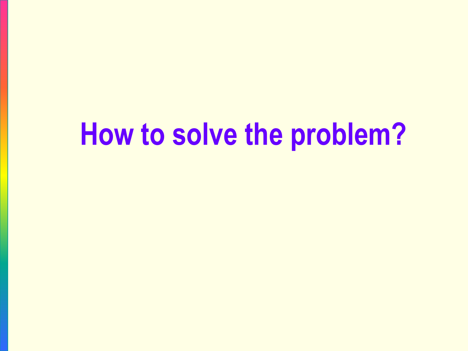### **How to solve the problem?**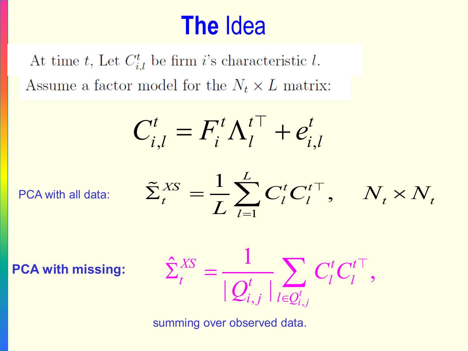### **The** Idea

At time t, Let  $C_{i,l}^t$  be firm i's characteristic l. Assume a factor model for the  $N_t \times L$  matrix:

$$
C_{i,l}^t = F_i^t \Lambda_l^{t\top} + e_{i,l}^t
$$

PCA with all data:

$$
\tilde{\Sigma}_t^{XS} = \frac{1}{L} \sum_{l=1}^L C_l^t C_l^{t\top}, \quad N_t \times N_t
$$

**PCA with missing:**

$$
\hat{\Sigma}_t^{XS} = \frac{1}{|\mathcal{Q}_{i,j}^t|} \sum_{l \in \mathcal{Q}_{i,j}^t} C_l^t C_l^{t\top},
$$

summing over observed data.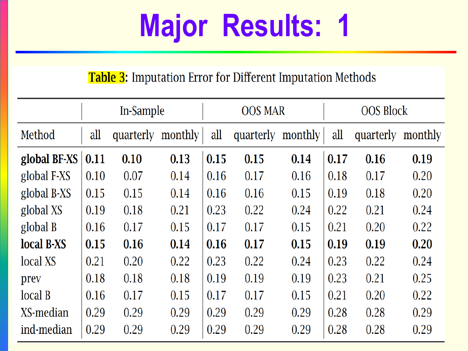# **Major Results: 1**

### **Table 3:** Imputation Error for Different Imputation Methods

|              | In-Sample |                   |      | <b>OOS MAR</b> |                   |      | <b>OOS Block</b> |           |         |
|--------------|-----------|-------------------|------|----------------|-------------------|------|------------------|-----------|---------|
| Method       | all       | quarterly monthly |      | all            | quarterly monthly |      | all              | quarterly | monthly |
| global BF-XS | 0.11      | 0.10              | 0.13 | 0.15           | 0.15              | 0.14 | 0.17             | 0.16      | 0.19    |
| global F-XS  | 0.10      | 0.07              | 0.14 | 0.16           | 0.17              | 0.16 | 0.18             | 0.17      | 0.20    |
| global B-XS  | 0.15      | 0.15              | 0.14 | 0.16           | 0.16              | 0.15 | 0.19             | 0.18      | 0.20    |
| global XS    | 0.19      | 0.18              | 0.21 | 0.23           | 0.22              | 0.24 | 0.22             | 0.21      | 0.24    |
| global B     | 0.16      | 0.17              | 0.15 | 0.17           | 0.17              | 0.15 | 0.21             | 0.20      | 0.22    |
| local B-XS   | 0.15      | 0.16              | 0.14 | 0.16           | 0.17              | 0.15 | 0.19             | 0.19      | 0.20    |
| local XS     | 0.21      | 0.20              | 0.22 | 0.23           | 0.22              | 0.24 | 0.23             | 0.22      | 0.24    |
| prev         | 0.18      | 0.18              | 0.18 | 0.19           | 0.19              | 0.19 | 0.23             | 0.21      | 0.25    |
| local B      | 0.16      | 0.17              | 0.15 | 0.17           | 0.17              | 0.15 | 0.21             | 0.20      | 0.22    |
| XS-median    | 0.29      | 0.29              | 0.29 | 0.29           | 0.29              | 0.29 | 0.28             | 0.28      | 0.29    |
| ind-median   | 0.29      | 0.29              | 0.29 | 0.29           | 0.29              | 0.29 | 0.28             | 0.28      | 0.29    |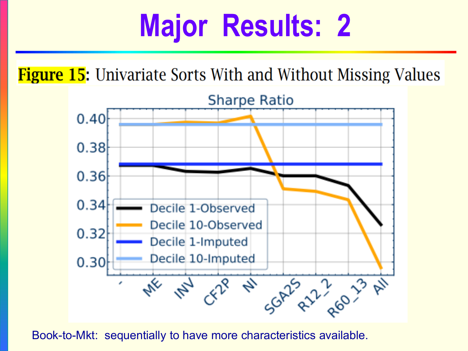### **Major Results: 2**

**Figure 15:** Univariate Sorts With and Without Missing Values



Book-to-Mkt: sequentially to have more characteristics available.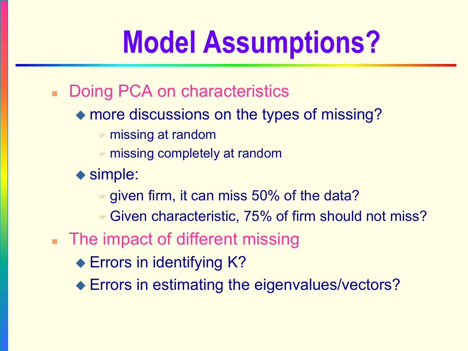# **Model Assumptions?**

- **Doing PCA on characteristics** 
	- more discussions on the types of missing?
		- missing at random
		- missing completely at random
	- ◆ simple:
		- given firm, it can miss 50% of the data?
		- Given characteristic, 75% of firm should not miss?
- The impact of different missing
	- ◆ Errors in identifying K?
	- ◆ Errors in estimating the eigenvalues/vectors?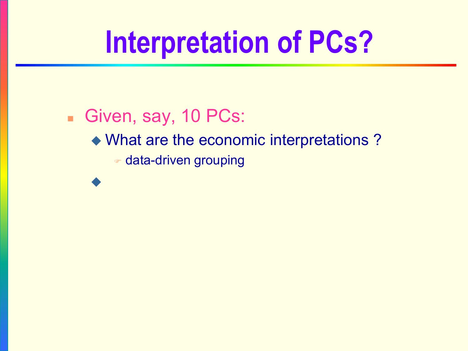# **Interpretation of PCs?**

Given, say, 10 PCs: What are the economic interpretations ? data-driven grouping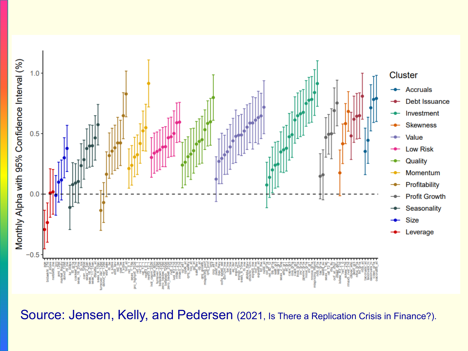

Source: Jensen, Kelly, and Pedersen (2021, Is There a Replication Crisis in Finance?).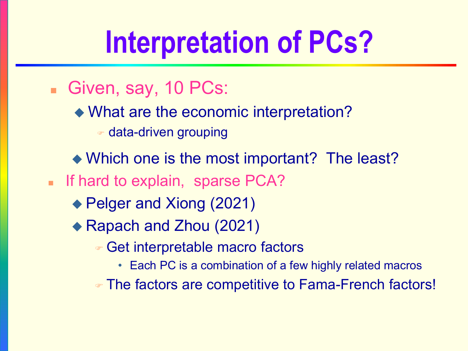# **Interpretation of PCs?**

- Given, say, 10 PCs:
	- What are the economic interpretation?
		- data-driven grouping
	- Which one is the most important? The least?
- If hard to explain, sparse PCA?
	- ◆ Pelger and Xiong (2021)
	- ◆ Rapach and Zhou (2021)
		- Get interpretable macro factors
			- Each PC is a combination of a few highly related macros
		- The factors are competitive to Fama-French factors!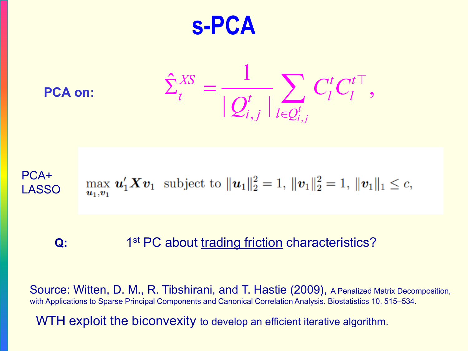**s-PCA**

**PCA on:**

$$
\hat{\Sigma}^{XS}_t = \frac{1}{|\mathcal{Q}_{i,j}^t|} \sum_{l \in \mathcal{Q}_{i,j}^t} C^t_l C^{t\top}_l,
$$

#### PCA+ max  $u'_1 X v_1$  subject to  $||u_1||_2^2 = 1$ ,  $||v_1||_2^2 = 1$ ,  $||v_1||_1 \leq c$ , LASSO $u_1,v_1$

#### **Q:** 1<sup>st</sup> PC about trading friction characteristics?

Source: Witten, D. M., R. Tibshirani, and T. Hastie (2009), A Penalized Matrix Decomposition, with Applications to Sparse Principal Components and Canonical Correlation Analysis. Biostatistics 10, 515–534.

WTH exploit the biconvexity to develop an efficient iterative algorithm.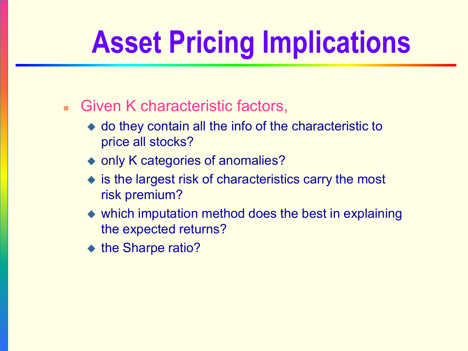# **Asset Pricing Implications**

- **Given K characteristic factors,** 
	- do they contain all the info of the characteristic to price all stocks?
	- ◆ only K categories of anomalies?
	- ◆ is the largest risk of characteristics carry the most risk premium?
	- which imputation method does the best in explaining the expected returns?
	- ◆ the Sharpe ratio?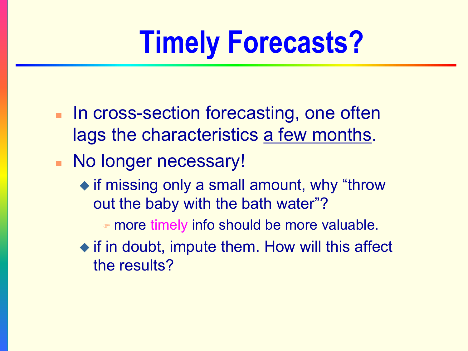# **Timely Forecasts?**

- **In cross-section forecasting, one often** lags the characteristics a few months.
- **No longer necessary!** 
	- $\bullet$  if missing only a small amount, why "throw out the baby with the bath water"?
		- more timely info should be more valuable.
	- $\bullet$  if in doubt, impute them. How will this affect the results?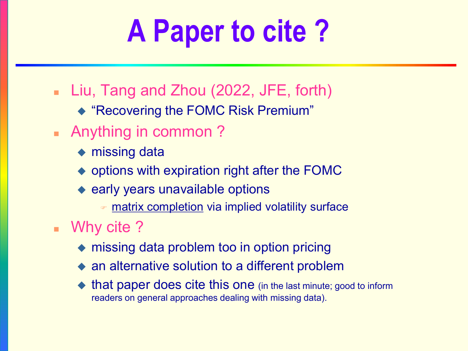# **A Paper to cite ?**

- Liu, Tang and Zhou (2022, JFE, forth)
	- ◆ "Recovering the FOMC Risk Premium"
- **Anything in common?** 
	- ◆ missing data
	- $\rightarrow$  options with expiration right after the FOMC
	- $\bullet$  early years unavailable options
		- matrix completion via implied volatility surface
- Why cite?
	- ◆ missing data problem too in option pricing
	- an alternative solution to a different problem
	- that paper does cite this one (in the last minute; good to inform readers on general approaches dealing with missing data).